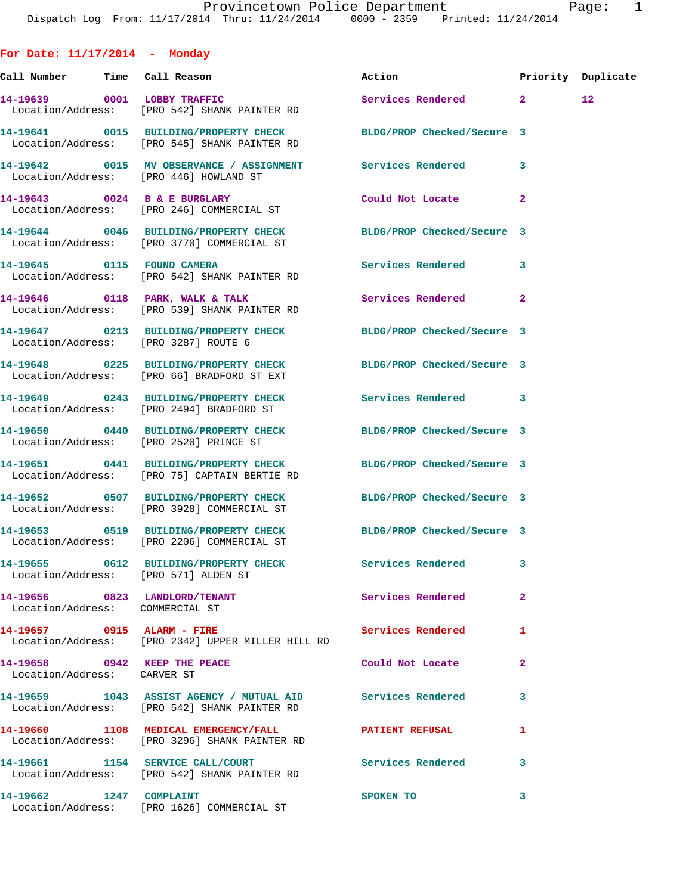**For Date: 11/17/2014 - Monday Call Number Time Call Reason Action Priority Duplicate 14-19639 0001 LOBBY TRAFFIC Services Rendered 2 12**  Location/Address: [PRO 542] SHANK PAINTER RD **14-19641 0015 BUILDING/PROPERTY CHECK BLDG/PROP Checked/Secure 3**  Location/Address: [PRO 545] SHANK PAINTER RD **14-19642 0015 MV OBSERVANCE / ASSIGNMENT Services Rendered 3**  Location/Address: [PRO 446] HOWLAND ST **14-19643 0024 B & E BURGLARY Could Not Locate 2**  Location/Address: [PRO 246] COMMERCIAL ST **14-19644 0046 BUILDING/PROPERTY CHECK BLDG/PROP Checked/Secure 3**  Location/Address: [PRO 3770] COMMERCIAL ST **14-19645 0115 FOUND CAMERA Services Rendered 3**  Location/Address: [PRO 542] SHANK PAINTER RD 14-19646 0118 PARK, WALK & TALK **Services Rendered** 2 Location/Address: [PRO 539] SHANK PAINTER RD **14-19647 0213 BUILDING/PROPERTY CHECK BLDG/PROP Checked/Secure 3**  Location/Address: [PRO 3287] ROUTE 6 **14-19648 0225 BUILDING/PROPERTY CHECK BLDG/PROP Checked/Secure 3**  Location/Address: [PRO 66] BRADFORD ST EXT **14-19649 0243 BUILDING/PROPERTY CHECK Services Rendered 3**  Location/Address: [PRO 2494] BRADFORD ST **14-19650 0440 BUILDING/PROPERTY CHECK BLDG/PROP Checked/Secure 3**  Location/Address: [PRO 2520] PRINCE ST **14-19651 0441 BUILDING/PROPERTY CHECK BLDG/PROP Checked/Secure 3**  Location/Address: [PRO 75] CAPTAIN BERTIE RD **14-19652 0507 BUILDING/PROPERTY CHECK BLDG/PROP Checked/Secure 3**  Location/Address: [PRO 3928] COMMERCIAL ST **14-19653 0519 BUILDING/PROPERTY CHECK BLDG/PROP Checked/Secure 3**  Location/Address: [PRO 2206] COMMERCIAL ST **14-19655 0612 BUILDING/PROPERTY CHECK Services Rendered 3**  Location/Address: [PRO 571] ALDEN ST **14-19656 0823 LANDLORD/TENANT Services Rendered 2**  Location/Address: COMMERCIAL ST **14-19657 0915 ALARM - FIRE Services Rendered 1**  Location/Address: [PRO 2342] UPPER MILLER HILL RD **14-19658 0942 KEEP THE PEACE Could Not Locate 2**  Location/Address: CARVER ST **14-19659 1043 ASSIST AGENCY / MUTUAL AID Services Rendered 3**  Location/Address: [PRO 542] SHANK PAINTER RD **14-19660 1108 MEDICAL EMERGENCY/FALL PATIENT REFUSAL 1**  Location/Address: [PRO 3296] SHANK PAINTER RD **14-19661 1154 SERVICE CALL/COURT Services Rendered 3**  Location/Address: [PRO 542] SHANK PAINTER RD

**14-19662 1247 COMPLAINT SPOKEN TO 3** 

Location/Address: [PRO 1626] COMMERCIAL ST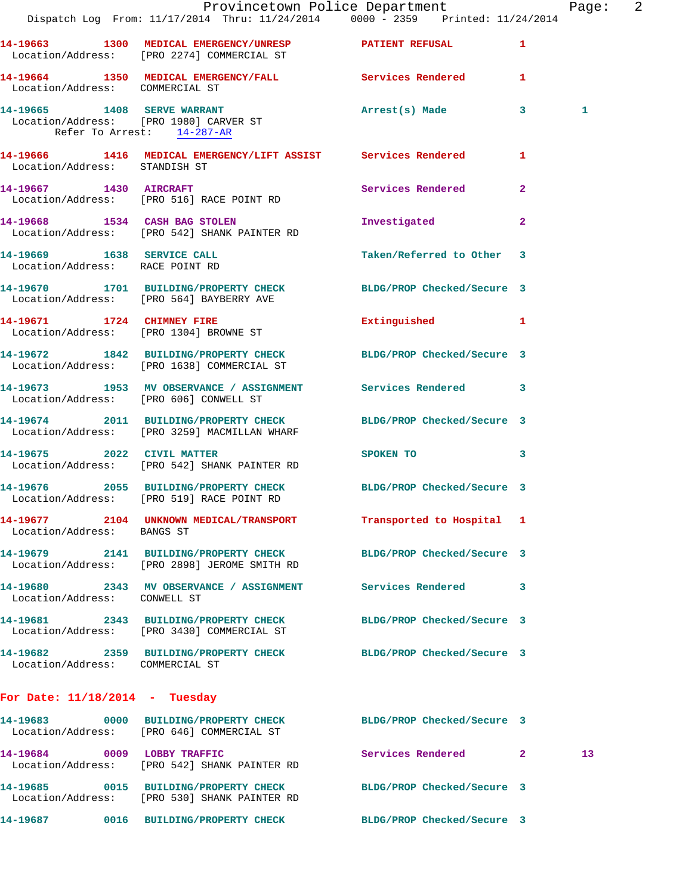|                                                                      | Dispatch Log From: 11/17/2014 Thru: 11/24/2014 0000 - 2359 Printed: 11/24/2014                                   | Provincetown Police Department Page: 2 |              |    |  |
|----------------------------------------------------------------------|------------------------------------------------------------------------------------------------------------------|----------------------------------------|--------------|----|--|
|                                                                      | 14-19663 1300 MEDICAL EMERGENCY/UNRESP PATIENT REFUSAL<br>Location/Address: [PRO 2274] COMMERCIAL ST             |                                        | $\mathbf{1}$ |    |  |
| Location/Address: COMMERCIAL ST                                      | 14-19664 1350 MEDICAL EMERGENCY/FALL Services Rendered 1                                                         |                                        |              |    |  |
| Location/Address: [PRO 1980] CARVER ST<br>Refer To Arrest: 14-287-AR | 14-19665 1408 SERVE WARRANT                                                                                      | Arrest(s) Made 3                       |              | 1  |  |
| Location/Address: STANDISH ST                                        | 14-19666 1416 MEDICAL EMERGENCY/LIFT ASSIST Services Rendered                                                    |                                        | $\mathbf{1}$ |    |  |
|                                                                      | 14-19667 1430 AIRCRAFT<br>Location/Address: [PRO 516] RACE POINT RD                                              | Services Rendered                      | $\mathbf{2}$ |    |  |
|                                                                      | 14-19668 1534 CASH BAG STOLEN<br>Location/Address: [PRO 542] SHANK PAINTER RD                                    | Investigated                           | $\mathbf{2}$ |    |  |
| Location/Address: RACE POINT RD                                      | 14-19669 1638 SERVICE CALL                                                                                       | Taken/Referred to Other 3              |              |    |  |
|                                                                      | 14-19670 1701 BUILDING/PROPERTY CHECK BLDG/PROP Checked/Secure 3<br>Location/Address: [PRO 564] BAYBERRY AVE     |                                        |              |    |  |
|                                                                      | 14-19671 1724 CHIMNEY FIRE<br>Location/Address: [PRO 1304] BROWNE ST                                             | Extinguished 1                         |              |    |  |
|                                                                      | 14-19672 1842 BUILDING/PROPERTY CHECK BLDG/PROP Checked/Secure 3<br>Location/Address: [PRO 1638] COMMERCIAL ST   |                                        |              |    |  |
|                                                                      | 14-19673 1953 MV OBSERVANCE / ASSIGNMENT Services Rendered 3<br>Location/Address: [PRO 606] CONWELL ST           |                                        |              |    |  |
|                                                                      | 14-19674 2011 BUILDING/PROPERTY CHECK BLDG/PROP Checked/Secure 3<br>Location/Address: [PRO 3259] MACMILLAN WHARF |                                        |              |    |  |
|                                                                      | 14-19675 2022 CIVIL MATTER<br>Location/Address: [PRO 542] SHANK PAINTER RD                                       | SPOKEN TO                              | 3            |    |  |
|                                                                      | 14-19676 2055 BUILDING/PROPERTY CHECK BLDG/PROP Checked/Secure 3<br>Location/Address: [PRO 519] RACE POINT RD    |                                        |              |    |  |
| Location/Address: BANGS ST                                           | 14-19677 2104 UNKNOWN MEDICAL/TRANSPORT Transported to Hospital 1                                                |                                        |              |    |  |
|                                                                      | 14-19679 2141 BUILDING/PROPERTY CHECK<br>Location/Address: [PRO 2898] JEROME SMITH RD                            | BLDG/PROP Checked/Secure 3             |              |    |  |
| Location/Address: CONWELL ST                                         | 14-19680 2343 MV OBSERVANCE / ASSIGNMENT Services Rendered                                                       |                                        | 3            |    |  |
|                                                                      | 14-19681 2343 BUILDING/PROPERTY CHECK<br>Location/Address: [PRO 3430] COMMERCIAL ST                              | BLDG/PROP Checked/Secure 3             |              |    |  |
| Location/Address: COMMERCIAL ST                                      | 14-19682 2359 BUILDING/PROPERTY CHECK BLDG/PROP Checked/Secure 3                                                 |                                        |              |    |  |
| For Date: $11/18/2014$ - Tuesday                                     |                                                                                                                  |                                        |              |    |  |
|                                                                      | 14-19683 0000 BUILDING/PROPERTY CHECK BLDG/PROP Checked/Secure 3<br>Location/Address: [PRO 646] COMMERCIAL ST    |                                        |              |    |  |
|                                                                      | 14-19684 0009 LOBBY TRAFFIC<br>Location/Address: [PRO 542] SHANK PAINTER RD                                      | Services Rendered 2                    |              | 13 |  |
|                                                                      | 14-19685 0015 BUILDING/PROPERTY CHECK<br>Location/Address: [PRO 530] SHANK PAINTER RD                            | BLDG/PROP Checked/Secure 3             |              |    |  |
|                                                                      | 14-19687  0016 BUILDING/PROPERTY CHECK                                                                           | BLDG/PROP Checked/Secure 3             |              |    |  |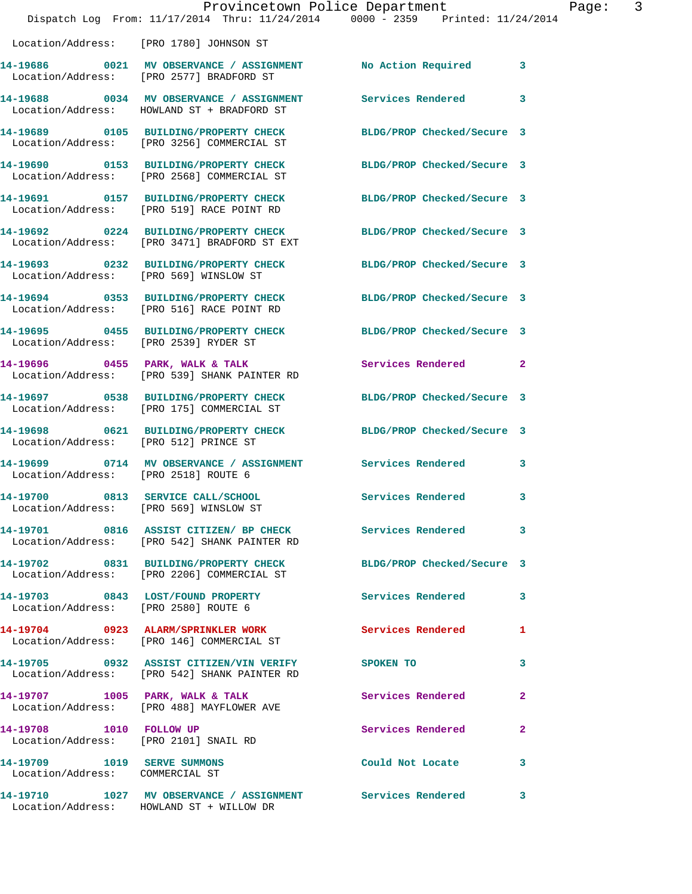|                                                                | Dispatch Log From: 11/17/2014 Thru: 11/24/2014 0000 - 2359 Printed: 11/24/2014                                 | Provincetown Police Department | Page: 3      |
|----------------------------------------------------------------|----------------------------------------------------------------------------------------------------------------|--------------------------------|--------------|
|                                                                | Location/Address: [PRO 1780] JOHNSON ST                                                                        |                                |              |
|                                                                | 14-19686 0021 MV OBSERVANCE / ASSIGNMENT No Action Required 3<br>Location/Address: [PRO 2577] BRADFORD ST      |                                |              |
|                                                                | 14-19688 0034 MV OBSERVANCE / ASSIGNMENT Services Rendered 3<br>Location/Address: HOWLAND ST + BRADFORD ST     |                                |              |
|                                                                | 14-19689 0105 BUILDING/PROPERTY CHECK<br>Location/Address: [PRO 3256] COMMERCIAL ST                            | BLDG/PROP Checked/Secure 3     |              |
|                                                                | 14-19690 0153 BUILDING/PROPERTY CHECK BLDG/PROP Checked/Secure 3<br>Location/Address: [PRO 2568] COMMERCIAL ST |                                |              |
|                                                                | 14-19691 0157 BUILDING/PROPERTY CHECK BLDG/PROP Checked/Secure 3<br>Location/Address: [PRO 519] RACE POINT RD  |                                |              |
|                                                                | 14-19692 0224 BUILDING/PROPERTY CHECK<br>Location/Address: [PRO 3471] BRADFORD ST EXT                          | BLDG/PROP Checked/Secure 3     |              |
| Location/Address: [PRO 569] WINSLOW ST                         | 14-19693 0232 BUILDING/PROPERTY CHECK BLDG/PROP Checked/Secure 3                                               |                                |              |
|                                                                | 14-19694 0353 BUILDING/PROPERTY CHECK BLDG/PROP Checked/Secure 3<br>Location/Address: [PRO 516] RACE POINT RD  |                                |              |
|                                                                | 14-19695 0455 BUILDING/PROPERTY CHECK BLDG/PROP Checked/Secure 3<br>Location/Address: [PRO 2539] RYDER ST      |                                |              |
|                                                                | 14-19696 0455 PARK, WALK & TALK<br>Location/Address: [PRO 539] SHANK PAINTER RD                                | Services Rendered 2            |              |
|                                                                | 14-19697 0538 BUILDING/PROPERTY CHECK BLDG/PROP Checked/Secure 3<br>Location/Address: [PRO 175] COMMERCIAL ST  |                                |              |
|                                                                | 14-19698 0621 BUILDING/PROPERTY CHECK BLDG/PROP Checked/Secure 3<br>Location/Address: [PRO 512] PRINCE ST      |                                |              |
| Location/Address: [PRO 2518] ROUTE 6                           | 14-19699 0714 MV OBSERVANCE / ASSIGNMENT Services Rendered 3                                                   |                                |              |
| Location/Address: [PRO 569] WINSLOW ST                         | 14-19700 0813 SERVICE CALL/SCHOOL                                                                              | <b>Services Rendered</b>       | $\mathbf{3}$ |
|                                                                | 14-19701 0816 ASSIST CITIZEN/ BP CHECK Services Rendered 3<br>Location/Address: [PRO 542] SHANK PAINTER RD     |                                |              |
|                                                                | 14-19702 0831 BUILDING/PROPERTY CHECK BLDG/PROP Checked/Secure 3<br>Location/Address: [PRO 2206] COMMERCIAL ST |                                |              |
|                                                                | 14-19703 0843 LOST/FOUND PROPERTY<br>Location/Address: [PRO 2580] ROUTE 6                                      | Services Rendered 3            |              |
|                                                                | 14-19704 0923 ALARM/SPRINKLER WORK Services Rendered 1<br>Location/Address: [PRO 146] COMMERCIAL ST            |                                |              |
|                                                                | 14-19705 0932 ASSIST CITIZEN/VIN VERIFY SPOKEN TO 3<br>Location/Address: [PRO 542] SHANK PAINTER RD            |                                |              |
|                                                                | 14-19707 1005 PARK, WALK & TALK<br>Location/Address: [PRO 488] MAYFLOWER AVE                                   | Services Rendered              | $\mathbf{2}$ |
| 14-19708 1010 FOLLOW UP                                        | Location/Address: [PRO 2101] SNAIL RD                                                                          | Services Rendered 2            |              |
| 14-19709 1019 SERVE SUMMONS<br>Location/Address: COMMERCIAL ST |                                                                                                                | Could Not Locate 3             |              |
|                                                                | 14-19710 1027 MV OBSERVANCE / ASSIGNMENT Services Rendered 3<br>Location/Address: HOWLAND ST + WILLOW DR       |                                |              |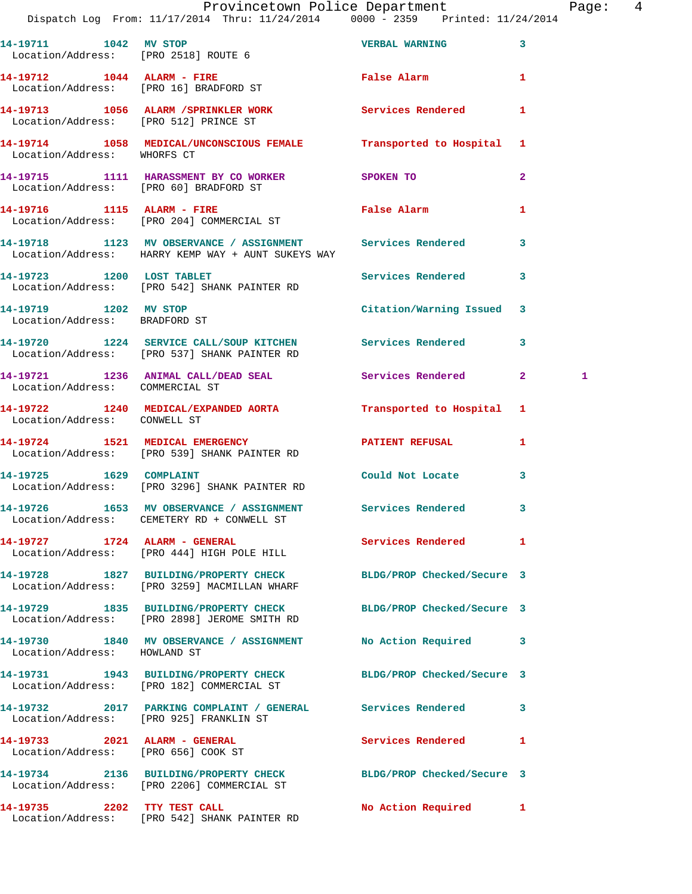|                                                        | Provincetown Police Department Page: 4<br>Dispatch Log From: 11/17/2014 Thru: 11/24/2014 0000 - 2359 Printed: 11/24/2014 |                           |              |              |  |
|--------------------------------------------------------|--------------------------------------------------------------------------------------------------------------------------|---------------------------|--------------|--------------|--|
|                                                        | 14-19711 1042 MV STOP 100 VERBAL WARNING<br>Location/Address: [PRO 2518] ROUTE 6                                         |                           |              |              |  |
|                                                        | 14-19712 1044 ALARM - FIRE<br>Location/Address: [PRO 16] BRADFORD ST                                                     | False Alarm 1             |              |              |  |
| Location/Address: [PRO 512] PRINCE ST                  | 14-19713 1056 ALARM / SPRINKLER WORK Services Rendered 1                                                                 |                           |              |              |  |
| Location/Address: WHORFS CT                            | 14-19714 1058 MEDICAL/UNCONSCIOUS FEMALE Transported to Hospital 1                                                       |                           |              |              |  |
| Location/Address: [PRO 60] BRADFORD ST                 | 14-19715 1111 HARASSMENT BY CO WORKER SPOKEN TO                                                                          |                           | $\mathbf{2}$ |              |  |
|                                                        | 14-19716 1115 ALARM - FIRE<br>Location/Address: [PRO 204] COMMERCIAL ST                                                  | False Alarm               | 1            |              |  |
|                                                        | 14-19718 1123 MV OBSERVANCE / ASSIGNMENT Services Rendered 3<br>Location/Address: HARRY KEMP WAY + AUNT SUKEYS WAY       |                           |              |              |  |
|                                                        | 14-19723 1200 LOST TABLET 1200 Services Rendered 3<br>Location/Address: [PRO 542] SHANK PAINTER RD                       |                           |              |              |  |
| 14-19719 1202 MV STOP<br>Location/Address: BRADFORD ST |                                                                                                                          | Citation/Warning Issued 3 |              |              |  |
|                                                        | 14-19720 1224 SERVICE CALL/SOUP KITCHEN Services Rendered 3<br>Location/Address: [PRO 537] SHANK PAINTER RD              |                           |              |              |  |
| Location/Address: COMMERCIAL ST                        | 14-19721 1236 ANIMAL CALL/DEAD SEAL Services Rendered 2                                                                  |                           |              | $\mathbf{1}$ |  |
| Location/Address: CONWELL ST                           | 14-19722 1240 MEDICAL/EXPANDED AORTA Transported to Hospital 1                                                           |                           |              |              |  |
|                                                        | 14-19724 1521 MEDICAL EMERGENCY PATIENT REFUSAL 1<br>Location/Address: [PRO 539] SHANK PAINTER RD                        |                           |              |              |  |
|                                                        | Location/Address: [PRO 3296] SHANK PAINTER RD                                                                            |                           | 3            |              |  |
|                                                        | 14-19726 1653 MV OBSERVANCE / ASSIGNMENT<br>Location/Address: CEMETERY RD + CONWELL ST                                   | Services Rendered         | 3            |              |  |
|                                                        | 14-19727 1724 ALARM - GENERAL Services Rendered 1<br>Location/Address: [PRO 444] HIGH POLE HILL                          |                           |              |              |  |
|                                                        | 14-19728 1827 BUILDING/PROPERTY CHECK BLDG/PROP Checked/Secure 3<br>Location/Address: [PRO 3259] MACMILLAN WHARF         |                           |              |              |  |
|                                                        | 14-19729 1835 BUILDING/PROPERTY CHECK BLDG/PROP Checked/Secure 3<br>Location/Address: [PRO 2898] JEROME SMITH RD         |                           |              |              |  |
| Location/Address: HOWLAND ST                           | 14-19730 1840 MV OBSERVANCE / ASSIGNMENT No Action Required 3                                                            |                           |              |              |  |
|                                                        | 14-19731 1943 BUILDING/PROPERTY CHECK BLDG/PROP Checked/Secure 3<br>Location/Address: [PRO 182] COMMERCIAL ST            |                           |              |              |  |
|                                                        | 14-19732 2017 PARKING COMPLAINT / GENERAL Services Rendered 3<br>Location/Address: [PRO 925] FRANKLIN ST                 |                           |              |              |  |
| Location/Address: [PRO 656] COOK ST                    | 14-19733 2021 ALARM - GENERAL                                                                                            | Services Rendered 1       |              |              |  |
|                                                        | 14-19734 2136 BUILDING/PROPERTY CHECK BLDG/PROP Checked/Secure 3<br>Location/Address: [PRO 2206] COMMERCIAL ST           |                           |              |              |  |
|                                                        | 14-19735 2202 TTY TEST CALL<br>Location/Address: [PRO 542] SHANK PAINTER RD                                              | No Action Required 1      |              |              |  |

Location/Address: [PRO 542] SHANK PAINTER RD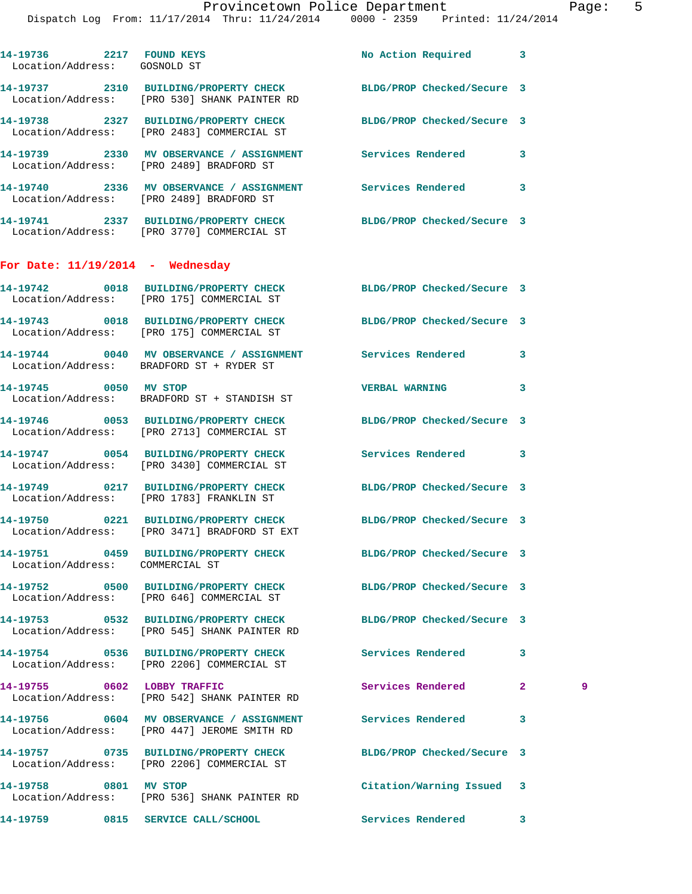| 14-19736 2217 FOUND KEYS<br>Location/Address: GOSNOLD ST |                                                                                                                  | No Action Required 3       |                |   |
|----------------------------------------------------------|------------------------------------------------------------------------------------------------------------------|----------------------------|----------------|---|
|                                                          | 14-19737 2310 BUILDING/PROPERTY CHECK BLDG/PROP Checked/Secure 3<br>Location/Address: [PRO 530] SHANK PAINTER RD |                            |                |   |
|                                                          | 14-19738 2327 BUILDING/PROPERTY CHECK BLDG/PROP Checked/Secure 3<br>Location/Address: [PRO 2483] COMMERCIAL ST   |                            |                |   |
|                                                          | 14-19739 2330 MV OBSERVANCE / ASSIGNMENT Services Rendered<br>Location/Address: [PRO 2489] BRADFORD ST           |                            | 3              |   |
|                                                          | 14-19740 2336 MV OBSERVANCE / ASSIGNMENT Services Rendered<br>Location/Address: [PRO 2489] BRADFORD ST           |                            | 3              |   |
|                                                          | 14-19741 2337 BUILDING/PROPERTY CHECK BLDG/PROP Checked/Secure 3<br>Location/Address: [PRO 3770] COMMERCIAL ST   |                            |                |   |
| For Date: $11/19/2014$ - Wednesday                       |                                                                                                                  |                            |                |   |
|                                                          | 14-19742 0018 BUILDING/PROPERTY CHECK BLDG/PROP Checked/Secure 3<br>Location/Address: [PRO 175] COMMERCIAL ST    |                            |                |   |
|                                                          | 14-19743 0018 BUILDING/PROPERTY CHECK BLDG/PROP Checked/Secure 3<br>Location/Address: [PRO 175] COMMERCIAL ST    |                            |                |   |
|                                                          | 14-19744 0040 MV OBSERVANCE / ASSIGNMENT Services Rendered<br>Location/Address: BRADFORD ST + RYDER ST           |                            | 3              |   |
|                                                          | 14-19745 0050 MV STOP<br>Location/Address: BRADFORD ST + STANDISH ST                                             | <b>VERBAL WARNING</b>      | 3              |   |
|                                                          | 14-19746 0053 BUILDING/PROPERTY CHECK BLDG/PROP Checked/Secure 3<br>Location/Address: [PRO 2713] COMMERCIAL ST   |                            |                |   |
|                                                          | 14-19747 0054 BUILDING/PROPERTY CHECK<br>Location/Address: [PRO 3430] COMMERCIAL ST                              | Services Rendered          | 3              |   |
|                                                          | 14-19749 0217 BUILDING/PROPERTY CHECK BLDG/PROP Checked/Secure 3<br>Location/Address: [PRO 1783] FRANKLIN ST     |                            |                |   |
|                                                          | 14-19750 0221 BUILDING/PROPERTY CHECK BLDG/PROP Checked/Secure 3<br>Location/Address: [PRO 3471] BRADFORD ST EXT |                            |                |   |
| Location/Address: COMMERCIAL ST                          | 14-19751 0459 BUILDING/PROPERTY CHECK BLDG/PROP Checked/Secure 3                                                 |                            |                |   |
|                                                          | 14-19752 0500 BUILDING/PROPERTY CHECK BLDG/PROP Checked/Secure 3<br>Location/Address: [PRO 646] COMMERCIAL ST    |                            |                |   |
|                                                          | 14-19753 0532 BUILDING/PROPERTY CHECK BLDG/PROP Checked/Secure 3<br>Location/Address: [PRO 545] SHANK PAINTER RD |                            |                |   |
|                                                          | 14-19754 0536 BUILDING/PROPERTY CHECK<br>Location/Address: [PRO 2206] COMMERCIAL ST                              | <b>Services Rendered</b>   | 3              |   |
| 14-19755 0602 LOBBY TRAFFIC                              | Location/Address: [PRO 542] SHANK PAINTER RD                                                                     | Services Rendered          | $\overline{2}$ | 9 |
|                                                          | 14-19756 0604 MV OBSERVANCE / ASSIGNMENT<br>Location/Address: [PRO 447] JEROME SMITH RD                          | <b>Services Rendered</b>   | 3              |   |
|                                                          | 14-19757 0735 BUILDING/PROPERTY CHECK<br>Location/Address: [PRO 2206] COMMERCIAL ST                              | BLDG/PROP Checked/Secure 3 |                |   |
| 14-19758 0801 MV STOP                                    | Location/Address: [PRO 536] SHANK PAINTER RD                                                                     | Citation/Warning Issued 3  |                |   |
|                                                          |                                                                                                                  | Services Rendered          | 3              |   |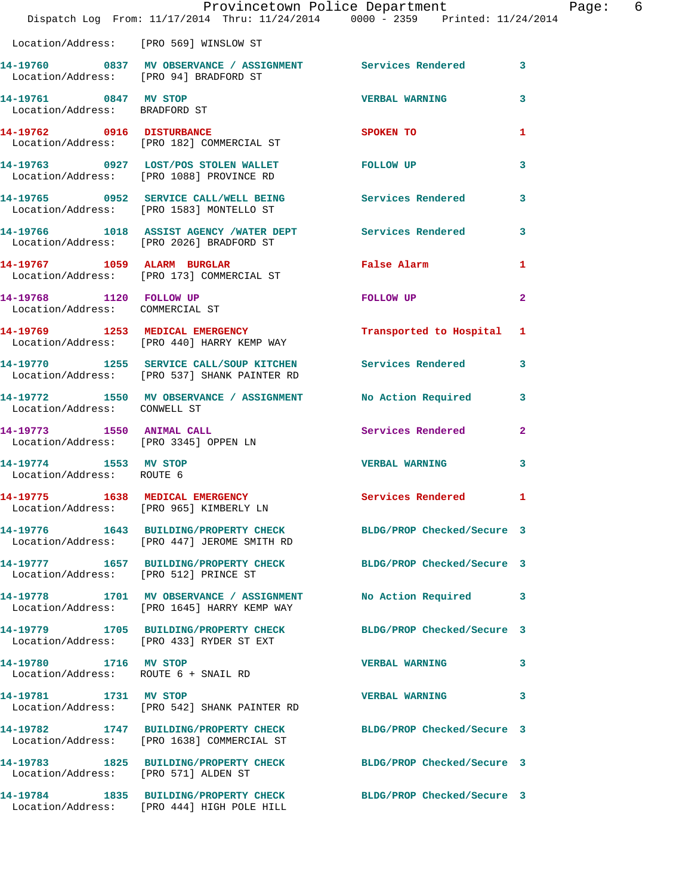|                                                                    | Provincetown Police Department<br>Dispatch Log From: 11/17/2014 Thru: 11/24/2014 0000 - 2359 Printed: 11/24/2014 |                            |                         |
|--------------------------------------------------------------------|------------------------------------------------------------------------------------------------------------------|----------------------------|-------------------------|
|                                                                    | Location/Address: [PRO 569] WINSLOW ST                                                                           |                            |                         |
| Location/Address: [PRO 94] BRADFORD ST                             | 14-19760 0837 MV OBSERVANCE / ASSIGNMENT Services Rendered                                                       |                            | $\overline{\mathbf{3}}$ |
| 14-19761 0847 MV STOP<br>Location/Address: BRADFORD ST             |                                                                                                                  | <b>VERBAL WARNING</b>      | 3                       |
|                                                                    | 14-19762 0916 DISTURBANCE<br>Location/Address: [PRO 182] COMMERCIAL ST                                           | SPOKEN TO                  | 1                       |
|                                                                    | 14-19763 0927 LOST/POS STOLEN WALLET FOLLOW UP<br>Location/Address: [PRO 1088] PROVINCE RD                       |                            | 3                       |
|                                                                    |                                                                                                                  |                            | 3                       |
|                                                                    | 14-19766 1018 ASSIST AGENCY /WATER DEPT Services Rendered<br>Location/Address: [PRO 2026] BRADFORD ST            |                            | 3                       |
|                                                                    | 14-19767 1059 ALARM BURGLAR<br>Location/Address: [PRO 173] COMMERCIAL ST                                         | False Alarm                | 1                       |
| 14-19768 1120 FOLLOW UP<br>Location/Address: COMMERCIAL ST         |                                                                                                                  | FOLLOW UP                  | 2                       |
|                                                                    | 14-19769 1253 MEDICAL EMERGENCY<br>Location/Address: [PRO 440] HARRY KEMP WAY                                    | Transported to Hospital    | 1                       |
|                                                                    | 14-19770 1255 SERVICE CALL/SOUP KITCHEN Services Rendered<br>Location/Address: [PRO 537] SHANK PAINTER RD        |                            | 3                       |
| Location/Address: CONWELL ST                                       | 14-19772 1550 MV OBSERVANCE / ASSIGNMENT                                                                         | <b>No Action Required</b>  | 3                       |
| 14-19773 1550 ANIMAL CALL<br>Location/Address: [PRO 3345] OPPEN LN |                                                                                                                  | <b>Services Rendered</b>   | $\mathbf{2}$            |
| 14-19774 1553 MV STOP<br>Location/Address: ROUTE 6                 |                                                                                                                  | <b>VERBAL WARNING</b>      | 3                       |
| 14-19775                                                           | 1638 MEDICAL EMERGENCY<br>Location/Address: [PRO 965] KIMBERLY LN                                                | Services Rendered          | 1                       |
|                                                                    | 14-19776 1643 BUILDING/PROPERTY CHECK BLDG/PROP Checked/Secure 3<br>Location/Address: [PRO 447] JEROME SMITH RD  |                            |                         |
|                                                                    | 14-19777   1657   BUILDING/PROPERTY CHECK   BLDG/PROP Checked/Secure 3<br>Location/Address: [PRO 512] PRINCE ST  |                            |                         |
|                                                                    | 14-19778 1701 MV OBSERVANCE / ASSIGNMENT<br>Location/Address: [PRO 1645] HARRY KEMP WAY                          | No Action Required         | 3                       |
|                                                                    | 14-19779 1705 BUILDING/PROPERTY CHECK BLDG/PROP Checked/Secure 3<br>Location/Address: [PRO 433] RYDER ST EXT     |                            |                         |
| 14-19780 1716 MV STOP                                              | Location/Address: ROUTE 6 + SNAIL RD                                                                             | <b>VERBAL WARNING</b>      | 3                       |
| 14-19781 1731 MV STOP                                              | Location/Address: [PRO 542] SHANK PAINTER RD                                                                     | <b>VERBAL WARNING</b>      | 3                       |
|                                                                    | 14-19782 1747 BUILDING/PROPERTY CHECK<br>Location/Address: [PRO 1638] COMMERCIAL ST                              | BLDG/PROP Checked/Secure 3 |                         |
| Location/Address: [PRO 571] ALDEN ST                               | 14-19783 1825 BUILDING/PROPERTY CHECK                                                                            | BLDG/PROP Checked/Secure 3 |                         |
|                                                                    | 14-19784 1835 BUILDING/PROPERTY CHECK BLDG/PROP Checked/Secure 3<br>Location/Address: [PRO 444] HIGH POLE HILL   |                            |                         |

Page: 6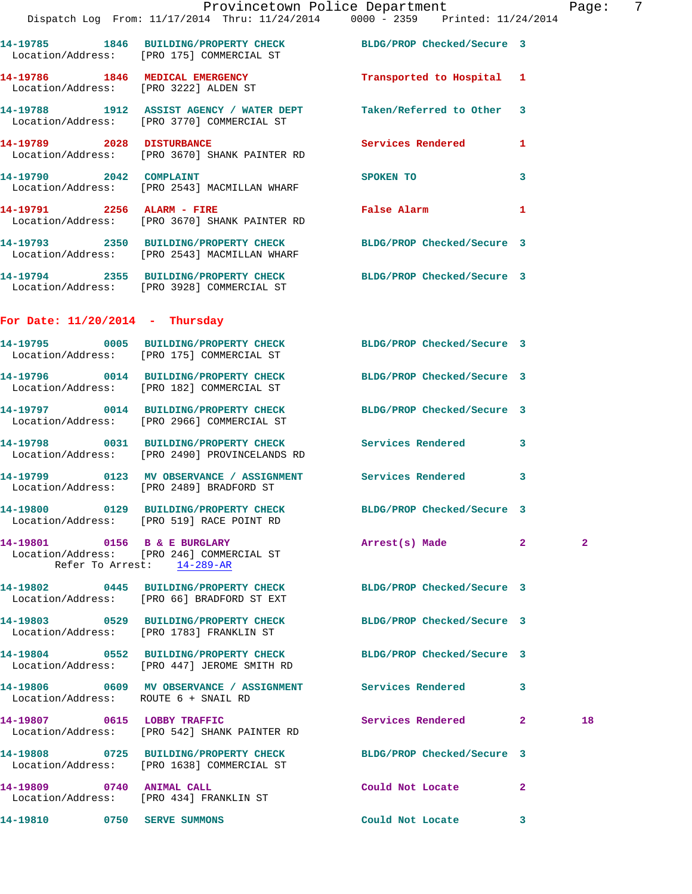|                                      | Provincetown Police Department Fage: 7<br>Dispatch Log From: 11/17/2014 Thru: 11/24/2014 0000 - 2359 Printed: 11/24/2014 |                                  |              |                |  |
|--------------------------------------|--------------------------------------------------------------------------------------------------------------------------|----------------------------------|--------------|----------------|--|
|                                      | 14-19785 1846 BUILDING/PROPERTY CHECK BLDG/PROP Checked/Secure 3<br>Location/Address: [PRO 175] COMMERCIAL ST            |                                  |              |                |  |
|                                      | 14-19786 1846 MEDICAL EMERGENCY<br>Location/Address: [PRO 3222] ALDEN ST                                                 | Transported to Hospital 1        |              |                |  |
|                                      | 14-19788 1912 ASSIST AGENCY / WATER DEPT Taken/Referred to Other 3<br>Location/Address: [PRO 3770] COMMERCIAL ST         |                                  |              |                |  |
|                                      | 14-19789 2028 DISTURBANCE<br>Location/Address: [PRO 3670] SHANK PAINTER RD                                               | Services Rendered 1              |              |                |  |
|                                      | 14-19790 2042 COMPLAINT<br>Location/Address: [PRO 2543] MACMILLAN WHARF                                                  | SPOKEN TO                        | 3            |                |  |
| 14-19791 2256 ALARM - FIRE           | Location/Address: [PRO 3670] SHANK PAINTER RD                                                                            | <b>Example 21 False Alarm</b> 21 |              |                |  |
|                                      | 14-19793 2350 BUILDING/PROPERTY CHECK BLDG/PROP Checked/Secure 3<br>Location/Address: [PRO 2543] MACMILLAN WHARF         |                                  |              |                |  |
|                                      | 14-19794 2355 BUILDING/PROPERTY CHECK BLDG/PROP Checked/Secure 3<br>Location/Address: [PRO 3928] COMMERCIAL ST           |                                  |              |                |  |
| For Date: $11/20/2014$ - Thursday    |                                                                                                                          |                                  |              |                |  |
|                                      | 14-19795 0005 BUILDING/PROPERTY CHECK BLDG/PROP Checked/Secure 3<br>Location/Address: [PRO 175] COMMERCIAL ST            |                                  |              |                |  |
|                                      | 14-19796 0014 BUILDING/PROPERTY CHECK BLDG/PROP Checked/Secure 3<br>Location/Address: [PRO 182] COMMERCIAL ST            |                                  |              |                |  |
|                                      | 14-19797 0014 BUILDING/PROPERTY CHECK BLDG/PROP Checked/Secure 3<br>Location/Address: [PRO 2966] COMMERCIAL ST           |                                  |              |                |  |
|                                      | 14-19798 0031 BUILDING/PROPERTY CHECK Services Rendered 3<br>Location/Address: [PRO 2490] PROVINCELANDS RD               |                                  |              |                |  |
|                                      | 14-19799 0123 MV OBSERVANCE / ASSIGNMENT Services Rendered 3<br>Location/Address: [PRO 2489] BRADFORD ST                 |                                  |              |                |  |
|                                      | 14-19800 0129 BUILDING/PROPERTY CHECK<br>Location/Address: [PRO 519] RACE POINT RD                                       | BLDG/PROP Checked/Secure 3       |              |                |  |
|                                      | 14-19801 0156 B & E BURGLARY<br>Location/Address: [PRO 246] COMMERCIAL ST<br>Refer To Arrest: 14-289-AR                  | Arrest(s) Made 2                 |              | $\overline{2}$ |  |
|                                      | 14-19802 0445 BUILDING/PROPERTY CHECK BLDG/PROP Checked/Secure 3<br>Location/Address: [PRO 66] BRADFORD ST EXT           |                                  |              |                |  |
|                                      | 14-19803 0529 BUILDING/PROPERTY CHECK BLDG/PROP Checked/Secure 3<br>Location/Address: [PRO 1783] FRANKLIN ST             |                                  |              |                |  |
|                                      | 14-19804 0552 BUILDING/PROPERTY CHECK<br>Location/Address: [PRO 447] JEROME SMITH RD                                     | BLDG/PROP Checked/Secure 3       |              |                |  |
| Location/Address: ROUTE 6 + SNAIL RD | 14-19806 609 MV OBSERVANCE / ASSIGNMENT Services Rendered                                                                |                                  | 3            |                |  |
|                                      | 14-19807 0615 LOBBY TRAFFIC<br>Location/Address: [PRO 542] SHANK PAINTER RD                                              | Services Rendered 2              |              | 18             |  |
|                                      | 14-19808 0725 BUILDING/PROPERTY CHECK<br>Location/Address: [PRO 1638] COMMERCIAL ST                                      | BLDG/PROP Checked/Secure 3       |              |                |  |
| 14-19809 0740 ANIMAL CALL            | Location/Address: [PRO 434] FRANKLIN ST                                                                                  | Could Not Locate                 | $\mathbf{2}$ |                |  |
| 14-19810 0750 SERVE SUMMONS          |                                                                                                                          | Could Not Locate                 | 3            |                |  |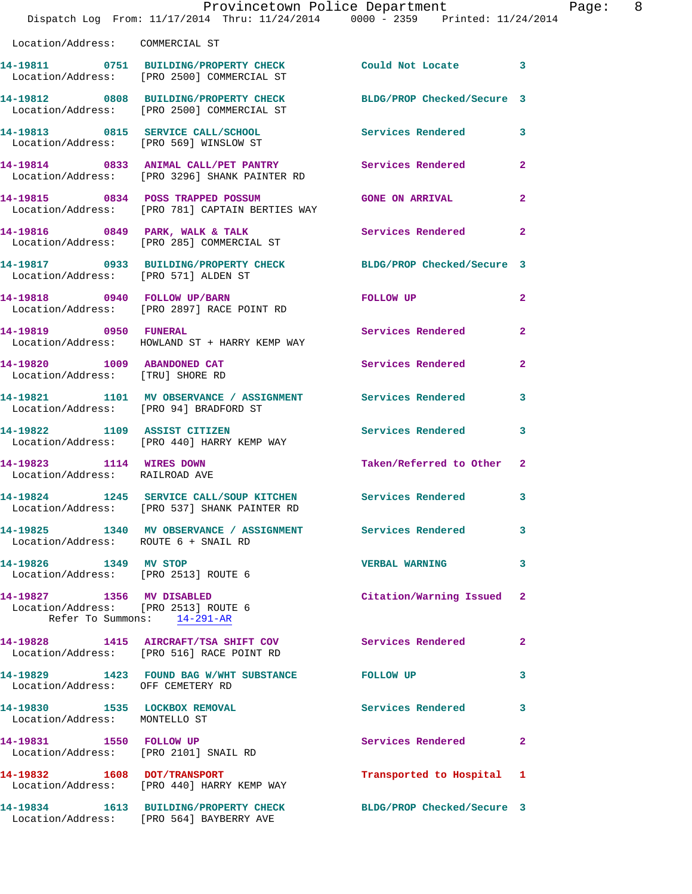|                                                                   | Provincetown Police Department<br>Dispatch Log From: 11/17/2014 Thru: 11/24/2014 0000 - 2359 Printed: 11/24/2014 |                            |                         |
|-------------------------------------------------------------------|------------------------------------------------------------------------------------------------------------------|----------------------------|-------------------------|
| Location/Address: COMMERCIAL ST                                   |                                                                                                                  |                            |                         |
|                                                                   | 14-19811 0751 BUILDING/PROPERTY CHECK Could Not Locate<br>Location/Address: [PRO 2500] COMMERCIAL ST             |                            | 3                       |
|                                                                   | 14-19812 0808 BUILDING/PROPERTY CHECK BLDG/PROP Checked/Secure 3<br>Location/Address: [PRO 2500] COMMERCIAL ST   |                            |                         |
|                                                                   | 14-19813 0815 SERVICE CALL/SCHOOL<br>Location/Address: [PRO 569] WINSLOW ST                                      | Services Rendered          | 3                       |
|                                                                   | 14-19814 0833 ANIMAL CALL/PET PANTRY Services Rendered<br>Location/Address: [PRO 3296] SHANK PAINTER RD          |                            | $\mathbf{2}$            |
|                                                                   | 14-19815 0834 POSS TRAPPED POSSUM<br>Location/Address: [PRO 781] CAPTAIN BERTIES WAY                             | <b>GONE ON ARRIVAL</b>     | $\overline{2}$          |
|                                                                   | 14-19816 0849 PARK, WALK & TALK<br>Location/Address: [PRO 285] COMMERCIAL ST                                     | Services Rendered          | $\mathbf{2}$            |
| Location/Address: [PRO 571] ALDEN ST                              | 14-19817 0933 BUILDING/PROPERTY CHECK BLDG/PROP Checked/Secure 3                                                 |                            |                         |
|                                                                   | 14-19818 0940 FOLLOW UP/BARN<br>Location/Address: [PRO 2897] RACE POINT RD                                       | FOLLOW UP                  | $\overline{\mathbf{2}}$ |
| 14-19819 0950 FUNERAL                                             | Location/Address: HOWLAND ST + HARRY KEMP WAY                                                                    | Services Rendered          | $\overline{a}$          |
| 14-19820 1009 ABANDONED CAT<br>Location/Address: [TRU] SHORE RD   |                                                                                                                  | Services Rendered          | $\overline{a}$          |
| Location/Address: [PRO 94] BRADFORD ST                            | 14-19821 1101 MV OBSERVANCE / ASSIGNMENT Services Rendered                                                       |                            | 3                       |
|                                                                   | 14-19822 1109 ASSIST CITIZEN<br>Location/Address: [PRO 440] HARRY KEMP WAY                                       | Services Rendered          | 3                       |
| 14-19823 1114 WIRES DOWN<br>Location/Address: RAILROAD AVE        |                                                                                                                  | Taken/Referred to Other    | $\mathbf{2}$            |
| 14-19824                                                          | 1245 SERVICE CALL/SOUP KITCHEN<br>Location/Address: [PRO 537] SHANK PAINTER RD                                   | Services Rendered          | 3                       |
| Location/Address: ROUTE 6 + SNAIL RD                              | 14-19825 1340 MV OBSERVANCE / ASSIGNMENT Services Rendered                                                       |                            | 3                       |
| 14-19826 1349 MV STOP<br>Location/Address: [PRO 2513] ROUTE 6     |                                                                                                                  | <b>VERBAL WARNING</b>      | 3                       |
| 14-19827 1356 MV DISABLED<br>Location/Address: [PRO 2513] ROUTE 6 | Refer To Summons: 14-291-AR                                                                                      | Citation/Warning Issued    | 2                       |
|                                                                   | 14-19828 1415 AIRCRAFT/TSA SHIFT COV<br>Location/Address: [PRO 516] RACE POINT RD                                | <b>Services Rendered</b>   | $\mathbf{2}$            |
| Location/Address: OFF CEMETERY RD                                 | 14-19829 1423 FOUND BAG W/WHT SUBSTANCE FOLLOW UP                                                                |                            | 3                       |
| 14-19830 1535 LOCKBOX REMOVAL<br>Location/Address: MONTELLO ST    |                                                                                                                  | <b>Services Rendered</b>   | 3                       |
| 14-19831 1550 FOLLOW UP                                           | Location/Address: [PRO 2101] SNAIL RD                                                                            | Services Rendered          | $\mathbf{2}$            |
|                                                                   | 14-19832 1608 DOT/TRANSPORT<br>Location/Address: [PRO 440] HARRY KEMP WAY                                        | Transported to Hospital    | 1                       |
|                                                                   | 14-19834 1613 BUILDING/PROPERTY CHECK<br>Location/Address: [PRO 564] BAYBERRY AVE                                | BLDG/PROP Checked/Secure 3 |                         |

Page: 8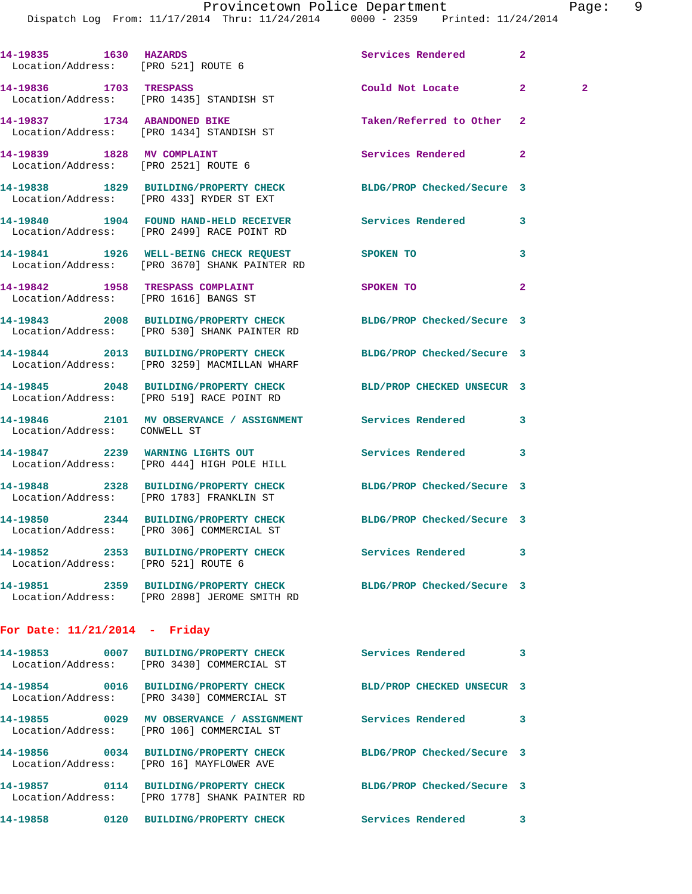Dispatch Log From: 11/17/2014 Thru: 11/24/2014 0000 - 2359 Printed: 11/24/2014

| 14-19835 1630 HAZARDS                 | Location/Address: [PRO 521] ROUTE 6                                                                              | Services Rendered          | $\overline{a}$                 |  |
|---------------------------------------|------------------------------------------------------------------------------------------------------------------|----------------------------|--------------------------------|--|
|                                       | 14-19836 1703 TRESPASS<br>Location/Address: [PRO 1435] STANDISH ST                                               | Could Not Locate           | 2 <sup>1</sup><br>$\mathbf{2}$ |  |
|                                       | 14-19837 1734 ABANDONED BIKE<br>Location/Address: [PRO 1434] STANDISH ST                                         | Taken/Referred to Other    | $\mathbf{2}$                   |  |
|                                       | 14-19839 1828 MV COMPLAINT<br>Location/Address: [PRO 2521] ROUTE 6                                               | Services Rendered          | $\mathbf{2}$                   |  |
|                                       | 14-19838 1829 BUILDING/PROPERTY CHECK BLDG/PROP Checked/Secure 3<br>Location/Address: [PRO 433] RYDER ST EXT     |                            |                                |  |
|                                       | 14-19840 1904 FOUND HAND-HELD RECEIVER Services Rendered<br>Location/Address: [PRO 2499] RACE POINT RD           |                            | 3                              |  |
|                                       | 14-19841 1926 WELL-BEING CHECK REQUEST<br>Location/Address: [PRO 3670] SHANK PAINTER RD                          | SPOKEN TO                  | 3                              |  |
| Location/Address: [PRO 1616] BANGS ST | 14-19842 1958 TRESPASS COMPLAINT                                                                                 | SPOKEN TO                  | 2                              |  |
|                                       | 14-19843 2008 BUILDING/PROPERTY CHECK BLDG/PROP Checked/Secure 3<br>Location/Address: [PRO 530] SHANK PAINTER RD |                            |                                |  |
|                                       | 14-19844 2013 BUILDING/PROPERTY CHECK<br>Location/Address: [PRO 3259] MACMILLAN WHARF                            | BLDG/PROP Checked/Secure 3 |                                |  |
|                                       | 14-19845 2048 BUILDING/PROPERTY CHECK<br>Location/Address: [PRO 519] RACE POINT RD                               | BLD/PROP CHECKED UNSECUR 3 |                                |  |
| Location/Address: CONWELL ST          | 14-19846 2101 MV OBSERVANCE / ASSIGNMENT Services Rendered                                                       |                            | 3                              |  |
|                                       | 14-19847 2239 WARNING LIGHTS OUT<br>Location/Address: [PRO 444] HIGH POLE HILL                                   | Services Rendered          | 3                              |  |
|                                       | 14-19848 2328 BUILDING/PROPERTY CHECK BLDG/PROP Checked/Secure 3<br>Location/Address: [PRO 1783] FRANKLIN ST     |                            |                                |  |
|                                       | 14-19850 2344 BUILDING/PROPERTY CHECK BLDG/PROP Checked/Secure 3<br>Location/Address: [PRO 306] COMMERCIAL ST    |                            |                                |  |
| Location/Address: [PRO 521] ROUTE 6   | 14-19852 2353 BUILDING/PROPERTY CHECK                                                                            | Services Rendered          | 3                              |  |
|                                       | 14-19851 2359 BUILDING/PROPERTY CHECK BLDG/PROP Checked/Secure 3<br>Location/Address: [PRO 2898] JEROME SMITH RD |                            |                                |  |
| For Date: $11/21/2014$ - Friday       |                                                                                                                  |                            |                                |  |
|                                       | 14-19853 0007 BUILDING/PROPERTY CHECK<br>Location/Address: [PRO 3430] COMMERCIAL ST                              | Services Rendered          | 3                              |  |
|                                       | 14-19854 0016 BUILDING/PROPERTY CHECK<br>Location/Address: [PRO 3430] COMMERCIAL ST                              | BLD/PROP CHECKED UNSECUR 3 |                                |  |
|                                       | 14-19855 0029 MV OBSERVANCE / ASSIGNMENT<br>Location/Address: [PRO 106] COMMERCIAL ST                            | Services Rendered          | 3                              |  |
|                                       |                                                                                                                  |                            |                                |  |

Location/Address: [PRO 16] MAYFLOWER AVE

Location/Address: [PRO 1778] SHANK PAINTER RD

## **14-19856 0034 BUILDING/PROPERTY CHECK BLDG/PROP Checked/Secure 3 14-19857 0114 BUILDING/PROPERTY CHECK BLDG/PROP Checked/Secure 3**

**14-19858 0120 BUILDING/PROPERTY CHECK Services Rendered 3**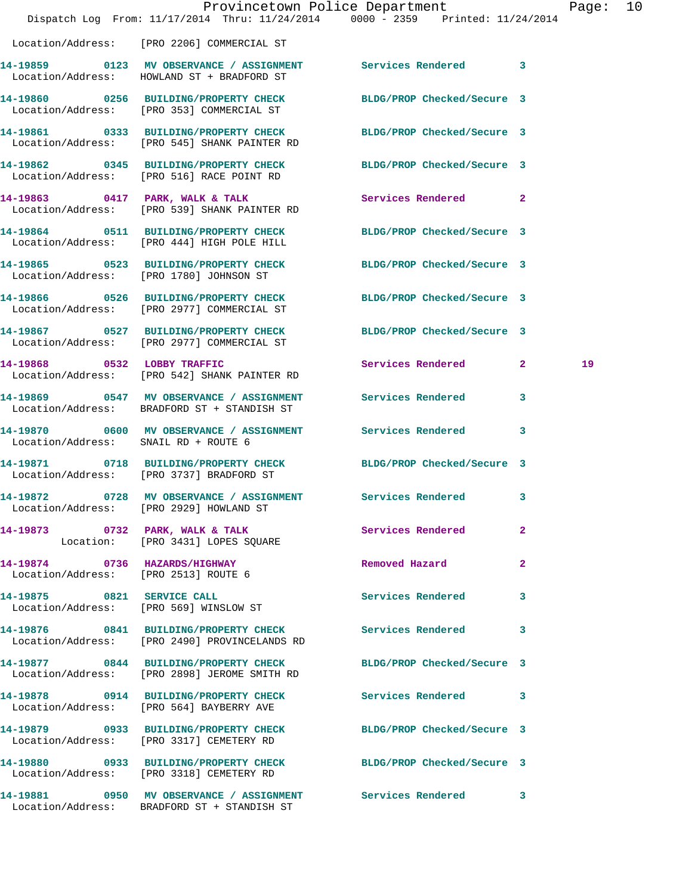|                                      | Dispatch Log From: 11/17/2014 Thru: 11/24/2014 0000 - 2359 Printed: 11/24/2014                                   | Provincetown Police Department |              | Page: 10 |  |
|--------------------------------------|------------------------------------------------------------------------------------------------------------------|--------------------------------|--------------|----------|--|
|                                      | Location/Address: [PRO 2206] COMMERCIAL ST                                                                       |                                |              |          |  |
|                                      | 14-19859 0123 MV OBSERVANCE / ASSIGNMENT Services Rendered 3<br>Location/Address: HOWLAND ST + BRADFORD ST       |                                |              |          |  |
|                                      | 14-19860 0256 BUILDING/PROPERTY CHECK BLDG/PROP Checked/Secure 3<br>Location/Address: [PRO 353] COMMERCIAL ST    |                                |              |          |  |
|                                      | 14-19861 0333 BUILDING/PROPERTY CHECK<br>Location/Address: [PRO 545] SHANK PAINTER RD                            | BLDG/PROP Checked/Secure 3     |              |          |  |
|                                      | 14-19862 0345 BUILDING/PROPERTY CHECK BLDG/PROP Checked/Secure 3<br>Location/Address: [PRO 516] RACE POINT RD    |                                |              |          |  |
|                                      | 14-19863 0417 PARK, WALK & TALK<br>Location/Address: [PRO 539] SHANK PAINTER RD                                  | Services Rendered 2            |              |          |  |
|                                      | 14-19864 0511 BUILDING/PROPERTY CHECK BLDG/PROP Checked/Secure 3<br>Location/Address: [PRO 444] HIGH POLE HILL   |                                |              |          |  |
|                                      | 14-19865 0523 BUILDING/PROPERTY CHECK BLDG/PROP Checked/Secure 3<br>Location/Address: [PRO 1780] JOHNSON ST      |                                |              |          |  |
|                                      | 14-19866 0526 BUILDING/PROPERTY CHECK<br>Location/Address: [PRO 2977] COMMERCIAL ST                              | BLDG/PROP Checked/Secure 3     |              |          |  |
|                                      | 14-19867 0527 BUILDING/PROPERTY CHECK BLDG/PROP Checked/Secure 3<br>Location/Address: [PRO 2977] COMMERCIAL ST   |                                |              |          |  |
|                                      | 14-19868 0532 LOBBY TRAFFIC<br>Location/Address: [PRO 542] SHANK PAINTER RD                                      | Services Rendered 2            |              | 19       |  |
|                                      | 14-19869 0547 MV OBSERVANCE / ASSIGNMENT Services Rendered 3<br>Location/Address: BRADFORD ST + STANDISH ST      |                                |              |          |  |
| Location/Address: SNAIL RD + ROUTE 6 | 14-19870 0600 MV OBSERVANCE / ASSIGNMENT Services Rendered 3                                                     |                                |              |          |  |
|                                      | 14-19871 0718 BUILDING/PROPERTY CHECK BLDG/PROP Checked/Secure 3<br>Location/Address: [PRO 3737] BRADFORD ST     |                                |              |          |  |
| 14-19872                             | 0728 MV OBSERVANCE / ASSIGNMENT<br>Location/Address: [PRO 2929] HOWLAND ST                                       | Services Rendered              | 3            |          |  |
|                                      | 14-19873 0732 PARK, WALK & TALK<br>Location: [PRO 3431] LOPES SQUARE                                             | Services Rendered              | $\mathbf{2}$ |          |  |
| Location/Address: [PRO 2513] ROUTE 6 | 14-19874 0736 HAZARDS/HIGHWAY                                                                                    | Removed Hazard                 | $\mathbf{2}$ |          |  |
|                                      | 14-19875 0821 SERVICE CALL<br>Location/Address: [PRO 569] WINSLOW ST                                             | Services Rendered              | $\mathbf{3}$ |          |  |
|                                      | 14-19876 0841 BUILDING/PROPERTY CHECK<br>Location/Address: [PRO 2490] PROVINCELANDS RD                           | Services Rendered 3            |              |          |  |
|                                      | 14-19877 0844 BUILDING/PROPERTY CHECK BLDG/PROP Checked/Secure 3<br>Location/Address: [PRO 2898] JEROME SMITH RD |                                |              |          |  |
|                                      | 14-19878 0914 BUILDING/PROPERTY CHECK Services Rendered 3<br>Location/Address: [PRO 564] BAYBERRY AVE            |                                |              |          |  |
|                                      | 14-19879 0933 BUILDING/PROPERTY CHECK BLDG/PROP Checked/Secure 3<br>Location/Address: [PRO 3317] CEMETERY RD     |                                |              |          |  |
|                                      | 14-19880 0933 BUILDING/PROPERTY CHECK BLDG/PROP Checked/Secure 3<br>Location/Address: [PRO 3318] CEMETERY RD     |                                |              |          |  |
|                                      | 14-19881 0950 MV OBSERVANCE / ASSIGNMENT Services Rendered 3<br>Location/Address: BRADFORD ST + STANDISH ST      |                                |              |          |  |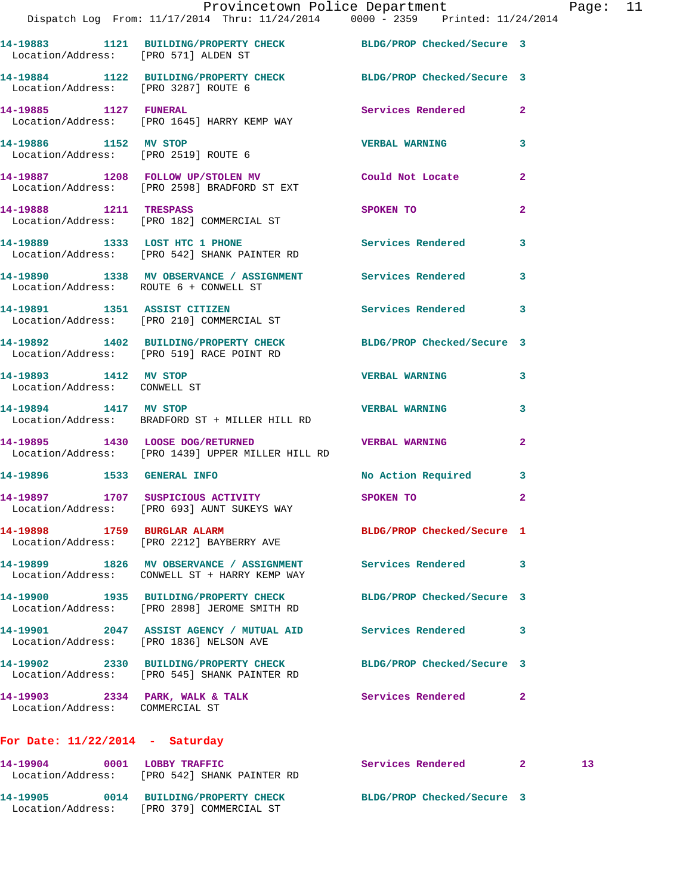|                                                       | Dispatch Log From: 11/17/2014 Thru: 11/24/2014 0000 - 2359 Printed: 11/24/2014                                   | Provincetown Police Department Page: 11                                                                                                                                                                                        |                |                 |  |
|-------------------------------------------------------|------------------------------------------------------------------------------------------------------------------|--------------------------------------------------------------------------------------------------------------------------------------------------------------------------------------------------------------------------------|----------------|-----------------|--|
|                                                       |                                                                                                                  |                                                                                                                                                                                                                                |                |                 |  |
|                                                       | 14-19883 1121 BUILDING/PROPERTY CHECK BLDG/PROP Checked/Secure 3<br>Location/Address: [PRO 571] ALDEN ST         |                                                                                                                                                                                                                                |                |                 |  |
|                                                       | 14-19884 1122 BUILDING/PROPERTY CHECK BLDG/PROP Checked/Secure 3<br>Location/Address: [PRO 3287] ROUTE 6         |                                                                                                                                                                                                                                |                |                 |  |
|                                                       | 14-19885 1127 FUNERAL<br>Location/Address: [PRO 1645] HARRY KEMP WAY                                             | Services Rendered 2                                                                                                                                                                                                            |                |                 |  |
| 14-19886 1152 MV STOP                                 | Location/Address: [PRO 2519] ROUTE 6                                                                             | <b>VERBAL WARNING 3</b>                                                                                                                                                                                                        |                |                 |  |
|                                                       | 14-19887 1208 FOLLOW UP/STOLEN MV Could Not Locate<br>Location/Address: [PRO 2598] BRADFORD ST EXT               |                                                                                                                                                                                                                                | $\overline{2}$ |                 |  |
| 14-19888 1211 TRESPASS                                | Location/Address: [PRO 182] COMMERCIAL ST                                                                        | SPOKEN TO AND TO A RESIDENCE OF A RESIDENCE OF A RESIDENCE OF A RESIDENCE OF A RESIDENCE OF A RESIDENCE OF A RESIDENCE OF A RESIDENCE OF A RESIDENCE OF A RESIDENCE OF A RESIDENCE OF A RESIDENCE OF A RESIDENCE OF A RESIDENC | $\mathbf{2}$   |                 |  |
|                                                       | 14-19889 1333 LOST HTC 1 PHONE<br>Location/Address: [PRO 542] SHANK PAINTER RD                                   | Services Rendered 3                                                                                                                                                                                                            |                |                 |  |
| Location/Address: ROUTE 6 + CONWELL ST                | 14-19890 1338 MV OBSERVANCE / ASSIGNMENT Services Rendered 3                                                     |                                                                                                                                                                                                                                |                |                 |  |
|                                                       | 14-19891 1351 ASSIST CITIZEN<br>Location/Address: [PRO 210] COMMERCIAL ST                                        | Services Rendered 3                                                                                                                                                                                                            |                |                 |  |
|                                                       | 14-19892 1402 BUILDING/PROPERTY CHECK BLDG/PROP Checked/Secure 3<br>Location/Address: [PRO 519] RACE POINT RD    |                                                                                                                                                                                                                                |                |                 |  |
| 14-19893 1412 MV STOP<br>Location/Address: CONWELL ST |                                                                                                                  | VERBAL WARNING 3                                                                                                                                                                                                               |                |                 |  |
| 14-19894 1417 MV STOP                                 | Location/Address: BRADFORD ST + MILLER HILL RD                                                                   | <b>VERBAL WARNING</b>                                                                                                                                                                                                          | 3              |                 |  |
|                                                       | 14-19895 1430 LOOSE DOG/RETURNED WERBAL WARNING<br>Location/Address: [PRO 1439] UPPER MILLER HILL RD             |                                                                                                                                                                                                                                | $\mathbf{2}$   |                 |  |
|                                                       | 14-19896 1533 GENERAL INFO                                                                                       | No Action Required 3                                                                                                                                                                                                           |                |                 |  |
|                                                       | 14-19897 1707 SUSPICIOUS ACTIVITY SPOKEN TO<br>Location/Address: [PRO 693] AUNT SUKEYS WAY                       |                                                                                                                                                                                                                                | $\overline{a}$ |                 |  |
| 14-19898 1759 BURGLAR ALARM                           | Location/Address: [PRO 2212] BAYBERRY AVE                                                                        | BLDG/PROP Checked/Secure 1                                                                                                                                                                                                     |                |                 |  |
|                                                       | 14-19899 1826 MV OBSERVANCE / ASSIGNMENT<br>Location/Address: CONWELL ST + HARRY KEMP WAY                        | Services Rendered 3                                                                                                                                                                                                            |                |                 |  |
|                                                       | 14-19900 1935 BUILDING/PROPERTY CHECK BLDG/PROP Checked/Secure 3<br>Location/Address: [PRO 2898] JEROME SMITH RD |                                                                                                                                                                                                                                |                |                 |  |
|                                                       | 14-19901 2047 ASSIST AGENCY / MUTUAL AID Services Rendered<br>Location/Address: [PRO 1836] NELSON AVE            |                                                                                                                                                                                                                                | -3             |                 |  |
|                                                       | 14-19902 2330 BUILDING/PROPERTY CHECK BLDG/PROP Checked/Secure 3<br>Location/Address: [PRO 545] SHANK PAINTER RD |                                                                                                                                                                                                                                |                |                 |  |
| Location/Address: COMMERCIAL ST                       | 14-19903 2334 PARK, WALK & TALK Services Rendered                                                                |                                                                                                                                                                                                                                | -2             |                 |  |
| For Date: $11/22/2014$ - Saturday                     |                                                                                                                  |                                                                                                                                                                                                                                |                |                 |  |
|                                                       | 14-19904 0001 LOBBY TRAFFIC<br>Location/Address: [PRO 542] SHANK PAINTER RD                                      | Services Rendered 2                                                                                                                                                                                                            |                | 13 <sup>°</sup> |  |

**14-19905 0014 BUILDING/PROPERTY CHECK BLDG/PROP Checked/Secure 3**  Location/Address: [PRO 379] COMMERCIAL ST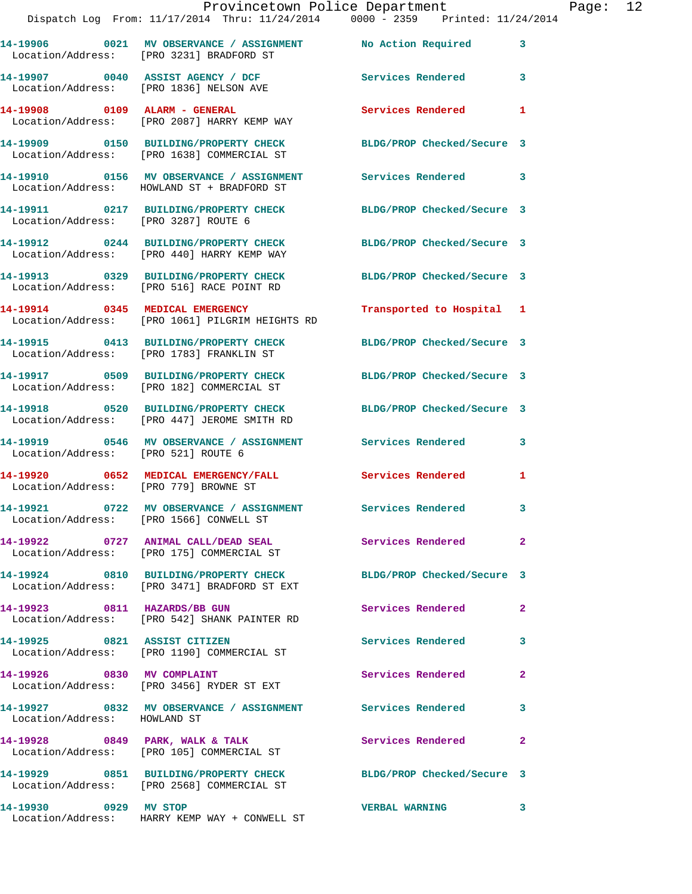|                                       | Dispatch Log From: 11/17/2014 Thru: 11/24/2014 0000 - 2359 Printed: 11/24/2014                                  | Provincetown Police Department           | Page: 12 |
|---------------------------------------|-----------------------------------------------------------------------------------------------------------------|------------------------------------------|----------|
|                                       | 14-19906 0021 MV OBSERVANCE / ASSIGNMENT No Action Required 3<br>Location/Address: [PRO 3231] BRADFORD ST       |                                          |          |
|                                       | 14-19907 0040 ASSIST AGENCY / DCF Services Rendered 3<br>Location/Address: [PRO 1836] NELSON AVE                |                                          |          |
|                                       | 14-19908 0109 ALARM - GENERAL<br>Location/Address: [PRO 2087] HARRY KEMP WAY                                    | Services Rendered<br>1                   |          |
|                                       | 14-19909 0150 BUILDING/PROPERTY CHECK BLDG/PROP Checked/Secure 3<br>Location/Address: [PRO 1638] COMMERCIAL ST  |                                          |          |
|                                       | 14-19910 0156 MV OBSERVANCE / ASSIGNMENT Services Rendered 3<br>Location/Address: HOWLAND ST + BRADFORD ST      |                                          |          |
| Location/Address: [PRO 3287] ROUTE 6  | 14-19911 0217 BUILDING/PROPERTY CHECK BLDG/PROP Checked/Secure 3                                                |                                          |          |
|                                       | 14-19912 0244 BUILDING/PROPERTY CHECK BLDG/PROP Checked/Secure 3<br>Location/Address: [PRO 440] HARRY KEMP WAY  |                                          |          |
|                                       | 14-19913 0329 BUILDING/PROPERTY CHECK BLDG/PROP Checked/Secure 3<br>Location/Address: [PRO 516] RACE POINT RD   |                                          |          |
|                                       | 14-19914 0345 MEDICAL EMERGENCY<br>Location/Address: [PRO 1061] PILGRIM HEIGHTS RD                              | Transported to Hospital 1                |          |
|                                       | 14-19915 0413 BUILDING/PROPERTY CHECK BLDG/PROP Checked/Secure 3<br>Location/Address: [PRO 1783] FRANKLIN ST    |                                          |          |
|                                       | 14-19917 0509 BUILDING/PROPERTY CHECK BLDG/PROP Checked/Secure 3<br>Location/Address: [PRO 182] COMMERCIAL ST   |                                          |          |
|                                       | 14-19918 0520 BUILDING/PROPERTY CHECK BLDG/PROP Checked/Secure 3<br>Location/Address: [PRO 447] JEROME SMITH RD |                                          |          |
| Location/Address: [PRO 521] ROUTE 6   | 14-19919 0546 MV OBSERVANCE / ASSIGNMENT Services Rendered 3                                                    |                                          |          |
| Location/Address: [PRO 779] BROWNE ST | 14-19920 0652 MEDICAL EMERGENCY/FALL Services Rendered 1                                                        |                                          |          |
|                                       | 14-19921 0722 MV OBSERVANCE / ASSIGNMENT Services Rendered<br>Location/Address: [PRO 1566] CONWELL ST           |                                          |          |
|                                       | 14-19922 0727 ANIMAL CALL/DEAD SEAL<br>Location/Address: [PRO 175] COMMERCIAL ST                                | Services Rendered<br>$\overline{2}$      |          |
|                                       | 14-19924 0810 BUILDING/PROPERTY CHECK<br>Location/Address: [PRO 3471] BRADFORD ST EXT                           | BLDG/PROP Checked/Secure 3               |          |
|                                       | 14-19923 0811 HAZARDS/BB GUN<br>Location/Address: [PRO 542] SHANK PAINTER RD                                    | <b>Services Rendered</b><br>$\mathbf{2}$ |          |
|                                       | 14-19925 0821 ASSIST CITIZEN<br>Location/Address: [PRO 1190] COMMERCIAL ST                                      | <b>Services Rendered</b> 3               |          |
|                                       | 14-19926 0830 MV COMPLAINT<br>Location/Address: [PRO 3456] RYDER ST EXT                                         | Services Rendered<br>$\mathbf{2}$        |          |
| Location/Address: HOWLAND ST          | 14-19927 0832 MV OBSERVANCE / ASSIGNMENT Services Rendered 3                                                    |                                          |          |
|                                       | 14-19928 0849 PARK, WALK & TALK<br>Location/Address: [PRO 105] COMMERCIAL ST                                    | Services Rendered<br>2                   |          |
|                                       | 14-19929 0851 BUILDING/PROPERTY CHECK BLDG/PROP Checked/Secure 3<br>Location/Address: [PRO 2568] COMMERCIAL ST  |                                          |          |
| 14-19930 0929 MV STOP                 | Location/Address: HARRY KEMP WAY + CONWELL ST                                                                   | <b>VERBAL WARNING</b><br>3               |          |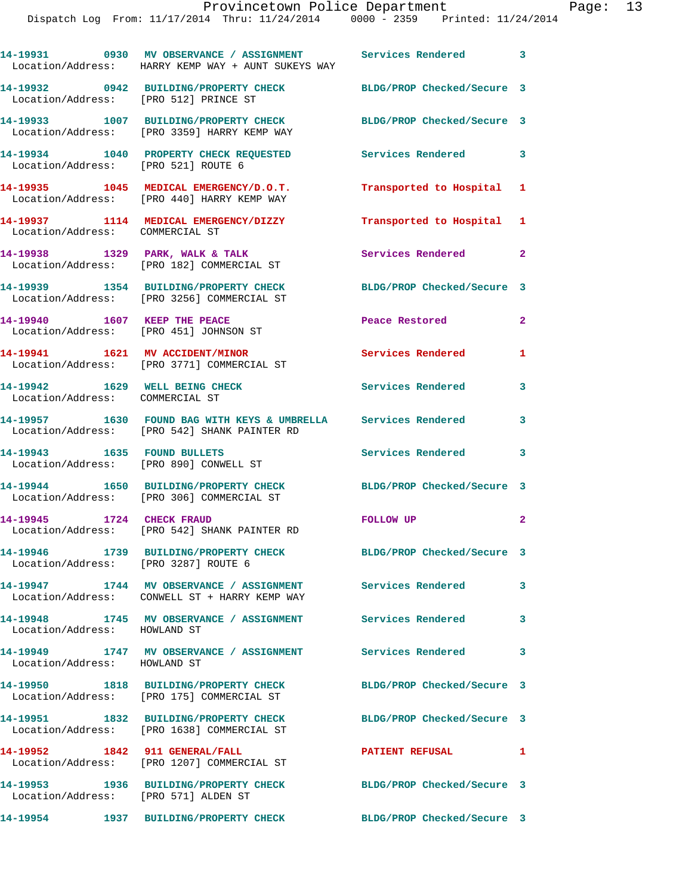|                                                                   | 14-19931 0930 MV OBSERVANCE / ASSIGNMENT Services Rendered 3<br>Location/Address: HARRY KEMP WAY + AUNT SUKEYS WAY |                            |                         |
|-------------------------------------------------------------------|--------------------------------------------------------------------------------------------------------------------|----------------------------|-------------------------|
| Location/Address: [PRO 512] PRINCE ST                             | 14-19932 0942 BUILDING/PROPERTY CHECK BLDG/PROP Checked/Secure 3                                                   |                            |                         |
|                                                                   | 14-19933 1007 BUILDING/PROPERTY CHECK BLDG/PROP Checked/Secure 3<br>Location/Address: [PRO 3359] HARRY KEMP WAY    |                            |                         |
| Location/Address: [PRO 521] ROUTE 6                               | 14-19934 1040 PROPERTY CHECK REQUESTED Services Rendered 3                                                         |                            |                         |
|                                                                   | 14-19935 1045 MEDICAL EMERGENCY/D.O.T.<br>Location/Address: [PRO 440] HARRY KEMP WAY                               | Transported to Hospital 1  |                         |
| Location/Address: COMMERCIAL ST                                   | 14-19937 1114 MEDICAL EMERGENCY/DIZZY                                                                              | Transported to Hospital 1  |                         |
|                                                                   | 14-19938 1329 PARK, WALK & TALK<br>Location/Address: [PRO 182] COMMERCIAL ST                                       | Services Rendered 2        |                         |
|                                                                   | 14-19939 1354 BUILDING/PROPERTY CHECK<br>Location/Address: [PRO 3256] COMMERCIAL ST                                | BLDG/PROP Checked/Secure 3 |                         |
| 14-19940 1607 KEEP THE PEACE                                      | Location/Address: [PRO 451] JOHNSON ST                                                                             | Peace Restored             | $\overline{2}$          |
|                                                                   | 14-19941 1621 MV ACCIDENT/MINOR<br>Location/Address: [PRO 3771] COMMERCIAL ST                                      | Services Rendered          | $\mathbf{1}$            |
| 14-19942 1629 WELL BEING CHECK<br>Location/Address: COMMERCIAL ST |                                                                                                                    | <b>Services Rendered</b>   | 3                       |
|                                                                   | 14-19957 1630 FOUND BAG WITH KEYS & UMBRELLA Services Rendered<br>Location/Address: [PRO 542] SHANK PAINTER RD     |                            | $\mathbf{3}$            |
|                                                                   | 14-19943 1635 FOUND BULLETS<br>Location/Address: [PRO 890] CONWELL ST                                              | Services Rendered          | 3                       |
|                                                                   | 14-19944 1650 BUILDING/PROPERTY CHECK BLDG/PROP Checked/Secure 3<br>Location/Address: [PRO 306] COMMERCIAL ST      |                            |                         |
| 14-19945 1724 CHECK FRAUD                                         | Location/Address: [PRO 542] SHANK PAINTER RD                                                                       | FOLLOW UP                  | $\mathbf{2}$            |
| Location/Address: [PRO 3287] ROUTE 6                              | 14-19946 1739 BUILDING/PROPERTY CHECK                                                                              | BLDG/PROP Checked/Secure 3 |                         |
|                                                                   | 14-19947 1744 MV OBSERVANCE / ASSIGNMENT Services Rendered<br>Location/Address: CONWELL ST + HARRY KEMP WAY        |                            | $\mathbf{3}$            |
| Location/Address: HOWLAND ST                                      | 14-19948 1745 MV OBSERVANCE / ASSIGNMENT Services Rendered                                                         |                            | 3                       |
| Location/Address: HOWLAND ST                                      | 14-19949 1747 MV OBSERVANCE / ASSIGNMENT Services Rendered                                                         |                            | $\overline{\mathbf{3}}$ |
|                                                                   | 14-19950 1818 BUILDING/PROPERTY CHECK<br>Location/Address: [PRO 175] COMMERCIAL ST                                 | BLDG/PROP Checked/Secure 3 |                         |
|                                                                   | 14-19951 1832 BUILDING/PROPERTY CHECK BLDG/PROP Checked/Secure 3<br>Location/Address: [PRO 1638] COMMERCIAL ST     |                            |                         |
| 14-19952 1842 911 GENERAL/FALL                                    | Location/Address: [PRO 1207] COMMERCIAL ST                                                                         | PATIENT REFUSAL 1          |                         |
| Location/Address: [PRO 571] ALDEN ST                              | 14-19953 1936 BUILDING/PROPERTY CHECK BLDG/PROP Checked/Secure 3                                                   |                            |                         |
|                                                                   | 14-19954 1937 BUILDING/PROPERTY CHECK BLDG/PROP Checked/Secure 3                                                   |                            |                         |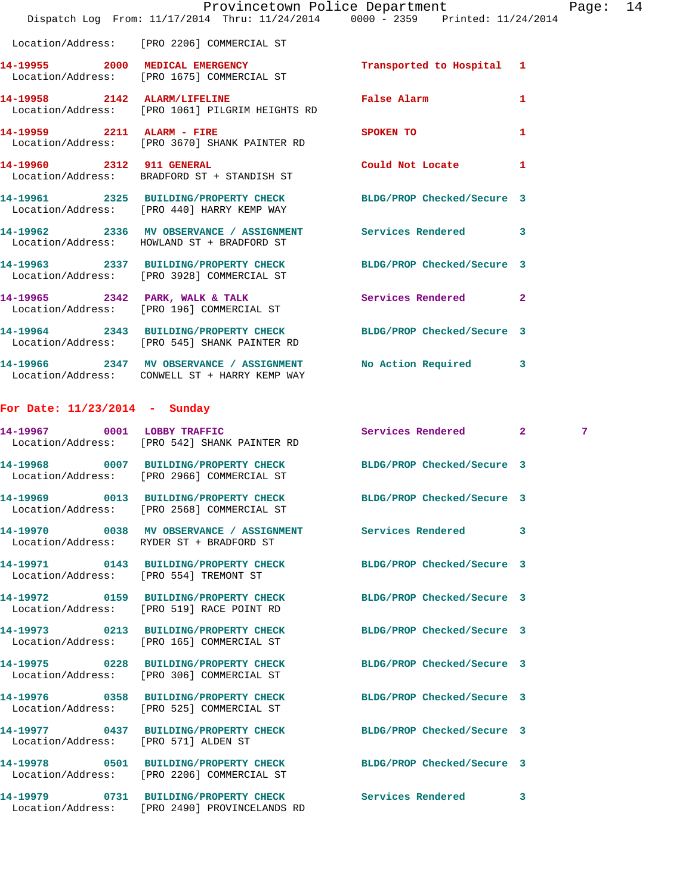|                                      | Dispatch Log From: 11/17/2014 Thru: 11/24/2014 0000 - 2359 Printed: 11/24/2014                                   | Provincetown Police Department                                                                                                                                                                                                |              | Page: 14    |  |
|--------------------------------------|------------------------------------------------------------------------------------------------------------------|-------------------------------------------------------------------------------------------------------------------------------------------------------------------------------------------------------------------------------|--------------|-------------|--|
|                                      | Location/Address: [PRO 2206] COMMERCIAL ST                                                                       |                                                                                                                                                                                                                               |              |             |  |
|                                      | 14-19955 2000 MEDICAL EMERGENCY<br>Location/Address: [PRO 1675] COMMERCIAL ST                                    | Transported to Hospital 1                                                                                                                                                                                                     |              |             |  |
|                                      | 14-19958 2142 ALARM/LIFELINE<br>Location/Address: [PRO 1061] PILGRIM HEIGHTS RD                                  | False Alarm <b>Exercise Service Service</b>                                                                                                                                                                                   | $\mathbf{1}$ |             |  |
| 14-19959 2211 ALARM - FIRE           | Location/Address: [PRO 3670] SHANK PAINTER RD                                                                    | SPOKEN TO THE STATE OF THE STATE OF THE STATE OF THE STATE OF THE STATE OF THE STATE OF THE STATE OF THE STATE OF THE STATE OF THE STATE OF THE STATE OF THE STATE OF THE STATE OF THE STATE OF THE STATE OF THE STATE OF THE | $\mathbf{1}$ |             |  |
|                                      | 14-19960 2312 911 GENERAL<br>Location/Address: BRADFORD ST + STANDISH ST                                         | Could Not Locate 1                                                                                                                                                                                                            |              |             |  |
|                                      | 14-19961 2325 BUILDING/PROPERTY CHECK BLDG/PROP Checked/Secure 3<br>Location/Address: [PRO 440] HARRY KEMP WAY   |                                                                                                                                                                                                                               |              |             |  |
|                                      | 14-19962 2336 MV OBSERVANCE / ASSIGNMENT Services Rendered 3<br>Location/Address: HOWLAND ST + BRADFORD ST       |                                                                                                                                                                                                                               |              |             |  |
|                                      | 14-19963 2337 BUILDING/PROPERTY CHECK BLDG/PROP Checked/Secure 3<br>Location/Address: [PRO 3928] COMMERCIAL ST   |                                                                                                                                                                                                                               |              |             |  |
|                                      | 14-19965 2342 PARK, WALK & TALK<br>Location/Address: [PRO 196] COMMERCIAL ST                                     | Services Rendered 2                                                                                                                                                                                                           |              |             |  |
|                                      | 14-19964 2343 BUILDING/PROPERTY CHECK BLDG/PROP Checked/Secure 3<br>Location/Address: [PRO 545] SHANK PAINTER RD |                                                                                                                                                                                                                               |              |             |  |
|                                      | 14-19966 2347 MV OBSERVANCE / ASSIGNMENT No Action Required 3<br>Location/Address: CONWELL ST + HARRY KEMP WAY   |                                                                                                                                                                                                                               |              |             |  |
| For Date: $11/23/2014$ - Sunday      |                                                                                                                  |                                                                                                                                                                                                                               |              |             |  |
|                                      | 14-19967 0001 LOBBY TRAFFIC<br>Location/Address: [PRO 542] SHANK PAINTER RD                                      | Services Rendered 2                                                                                                                                                                                                           |              | $7^{\circ}$ |  |
|                                      | 14-19968 0007 BUILDING/PROPERTY CHECK BLDG/PROP Checked/Secure 3<br>Location/Address: [PRO 2966] COMMERCIAL ST   |                                                                                                                                                                                                                               |              |             |  |
|                                      | 14-19969 0013 BUILDING/PROPERTY CHECK<br>Location/Address: [PRO 2568] COMMERCIAL ST                              | BLDG/PROP Checked/Secure 3                                                                                                                                                                                                    |              |             |  |
|                                      | 14-19970 0038 MV OBSERVANCE / ASSIGNMENT Services Rendered 3<br>Location/Address: RYDER ST + BRADFORD ST         |                                                                                                                                                                                                                               |              |             |  |
|                                      | 14-19971 0143 BUILDING/PROPERTY CHECK BLDG/PROP Checked/Secure 3<br>Location/Address: [PRO 554] TREMONT ST       |                                                                                                                                                                                                                               |              |             |  |
|                                      | 14-19972 0159 BUILDING/PROPERTY CHECK BLDG/PROP Checked/Secure 3<br>Location/Address: [PRO 519] RACE POINT RD    |                                                                                                                                                                                                                               |              |             |  |
|                                      | 14-19973 0213 BUILDING/PROPERTY CHECK BLDG/PROP Checked/Secure 3<br>Location/Address: [PRO 165] COMMERCIAL ST    |                                                                                                                                                                                                                               |              |             |  |
|                                      | 14-19975 0228 BUILDING/PROPERTY CHECK BLDG/PROP Checked/Secure 3<br>Location/Address: [PRO 306] COMMERCIAL ST    |                                                                                                                                                                                                                               |              |             |  |
|                                      | 14-19976 0358 BUILDING/PROPERTY CHECK BLDG/PROP Checked/Secure 3<br>Location/Address: [PRO 525] COMMERCIAL ST    |                                                                                                                                                                                                                               |              |             |  |
| Location/Address: [PRO 571] ALDEN ST | 14-19977 0437 BUILDING/PROPERTY CHECK BLDG/PROP Checked/Secure 3                                                 |                                                                                                                                                                                                                               |              |             |  |
|                                      | 14-19978 0501 BUILDING/PROPERTY CHECK BLDG/PROP Checked/Secure 3<br>Location/Address: [PRO 2206] COMMERCIAL ST   |                                                                                                                                                                                                                               |              |             |  |
|                                      | 14-19979 0731 BUILDING/PROPERTY CHECK Services Rendered<br>Location/Address: [PRO 2490] PROVINCELANDS RD         |                                                                                                                                                                                                                               | 3            |             |  |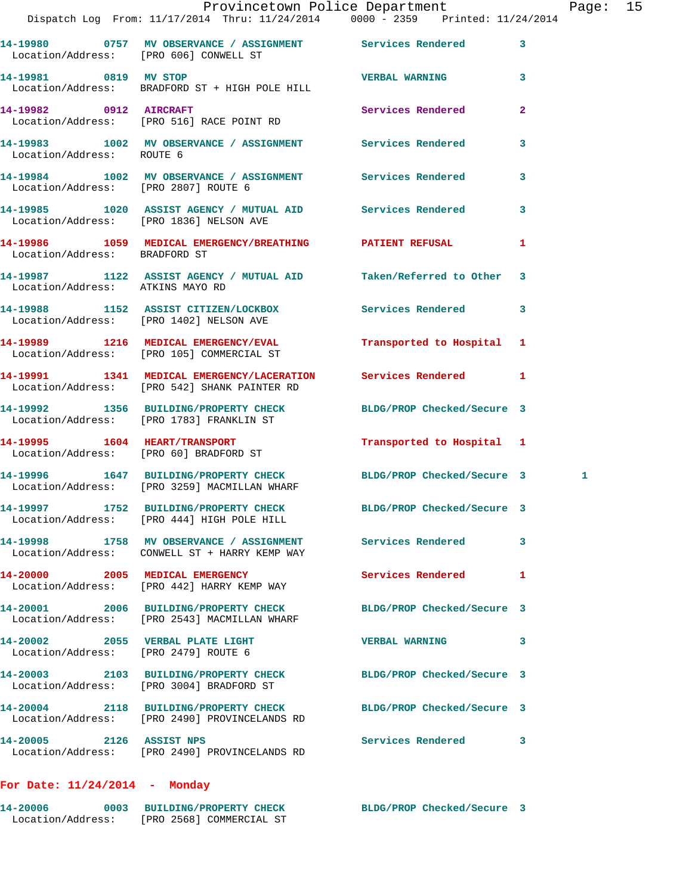|                                      | Provincetown Police Department<br>Dispatch Log From: 11/17/2014 Thru: 11/24/2014 0000 - 2359 Printed: 11/24/2014 |                            |                         | Page: 15 |  |
|--------------------------------------|------------------------------------------------------------------------------------------------------------------|----------------------------|-------------------------|----------|--|
|                                      | 14-19980 0757 MV OBSERVANCE / ASSIGNMENT Services Rendered 3                                                     |                            |                         |          |  |
| 14-19981 0819 MV STOP                | Location/Address: [PRO 606] CONWELL ST                                                                           | <b>VERBAL WARNING</b> 3    |                         |          |  |
|                                      | Location/Address: BRADFORD ST + HIGH POLE HILL                                                                   |                            |                         |          |  |
|                                      | 14-19982     0912   AIRCRAFT<br>Location/Address:   [PRO 516]RACE POINT RD                                       | Services Rendered          | $\mathbf{2}$            |          |  |
| Location/Address: ROUTE 6            | 14-19983 1002 MV OBSERVANCE / ASSIGNMENT Services Rendered                                                       |                            | $\overline{\mathbf{3}}$ |          |  |
| Location/Address: [PRO 2807] ROUTE 6 | 14-19984 1002 MV OBSERVANCE / ASSIGNMENT Services Rendered 3                                                     |                            |                         |          |  |
|                                      | 14-19985 1020 ASSIST AGENCY / MUTUAL AID Services Rendered 3<br>Location/Address: [PRO 1836] NELSON AVE          |                            |                         |          |  |
| Location/Address: BRADFORD ST        | 14-19986 1059 MEDICAL EMERGENCY/BREATHING PATIENT REFUSAL 1                                                      |                            |                         |          |  |
| Location/Address: ATKINS MAYO RD     | 14-19987 1122 ASSIST AGENCY / MUTUAL AID Taken/Referred to Other 3                                               |                            |                         |          |  |
|                                      | 14-19988 1152 ASSIST CITIZEN/LOCKBOX 5ervices Rendered 3<br>Location/Address: [PRO 1402] NELSON AVE              |                            |                         |          |  |
|                                      | 14-19989 1216 MEDICAL EMERGENCY/EVAL<br>Location/Address: [PRO 105] COMMERCIAL ST                                | Transported to Hospital 1  |                         |          |  |
|                                      | 14-19991 1341 MEDICAL EMERGENCY/LACERATION Services Rendered 1<br>Location/Address: [PRO 542] SHANK PAINTER RD   |                            |                         |          |  |
|                                      | 14-19992 1356 BUILDING/PROPERTY CHECK BLDG/PROP Checked/Secure 3<br>Location/Address: [PRO 1783] FRANKLIN ST     |                            |                         |          |  |
|                                      | 14-19995 1604 HEART/TRANSPORT<br>Location/Address: [PRO 60] BRADFORD ST                                          | Transported to Hospital 1  |                         |          |  |
|                                      | 14-19996 1647 BUILDING/PROPERTY CHECK BLDG/PROP Checked/Secure 3<br>Location/Address: [PRO 3259] MACMILLAN WHARF |                            |                         | 1        |  |
|                                      | 14-19997 1752 BUILDING/PROPERTY CHECK BLDG/PROP Checked/Secure 3<br>Location/Address: [PRO 444] HIGH POLE HILL   |                            |                         |          |  |
|                                      | 14-19998 1758 MV OBSERVANCE / ASSIGNMENT Services Rendered<br>Location/Address: CONWELL ST + HARRY KEMP WAY      |                            | 3                       |          |  |
|                                      | 14-20000 2005 MEDICAL EMERGENCY<br>Location/Address: [PRO 442] HARRY KEMP WAY                                    | Services Rendered 1        |                         |          |  |
|                                      | 14-20001 2006 BUILDING/PROPERTY CHECK<br>Location/Address: [PRO 2543] MACMILLAN WHARF                            | BLDG/PROP Checked/Secure 3 |                         |          |  |
| Location/Address: [PRO 2479] ROUTE 6 | 14-20002 2055 VERBAL PLATE LIGHT                                                                                 | VERBAL WARNING 3           |                         |          |  |
|                                      | 14-20003 2103 BUILDING/PROPERTY CHECK<br>Location/Address: [PRO 3004] BRADFORD ST                                | BLDG/PROP Checked/Secure 3 |                         |          |  |
|                                      | 14-20004 2118 BUILDING/PROPERTY CHECK<br>Location/Address: [PRO 2490] PROVINCELANDS RD                           | BLDG/PROP Checked/Secure 3 |                         |          |  |
| 14-20005 2126 ASSIST NPS             | Location/Address: [PRO 2490] PROVINCELANDS RD                                                                    | Services Rendered          | 3                       |          |  |

## **For Date: 11/24/2014 - Monday**

| 14-20006          |  | 0003 BUILDING/PROPERTY CHECK | BLDG/PROP Checked/Secure 3 |  |
|-------------------|--|------------------------------|----------------------------|--|
| Location/Address: |  | [PRO 2568] COMMERCIAL ST     |                            |  |